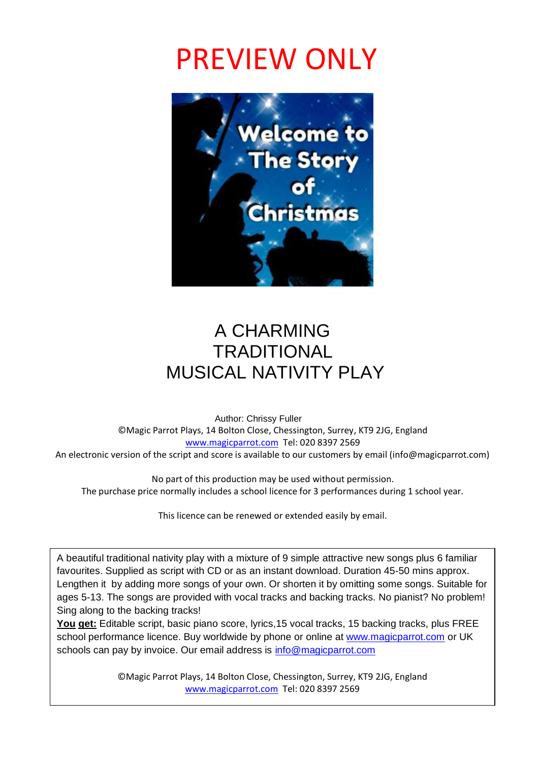# PREVIEW ONLY



## A CHARMING **TRADITIONAL** MUSICAL NATIVITY PLAY

 Author: Chrissy Fuller ©Magic Parrot Plays, 14 Bolton Close, Chessington, Surrey, KT9 2JG, England [www.magicparrot.com](http://www.magicparrot.com/) Tel: 020 8397 2569 An electronic version of the script and score is available to our customers by email (info@magicparrot.com)

No part of this production may be used without permission. The purchase price normally includes a school licence for 3 performances during 1 school year.

This licence can be renewed or extended easily by email.

A beautiful traditional nativity play with a mixture of 9 simple attractive new songs plus 6 familiar favourites. Supplied as script with CD or as an instant download. Duration 45-50 mins approx. Lengthen it by adding more songs of your own. Or shorten it by omitting some songs. Suitable for ages 5-13. The songs are provided with vocal tracks and backing tracks. No pianist? No problem! Sing along to the backing tracks!

**You get:** Editable script, basic piano score, lyrics,15 vocal tracks, 15 backing tracks, plus FREE school performance licence. Buy worldwide by phone or online at [www.magicparrot.com](http://www.magicparrot.com/) or UK schools can pay by invoice. Our email address is [info@magicparrot.com](mailto:info@magicparrot.com)

> ©Magic Parrot Plays, 14 Bolton Close, Chessington, Surrey, KT9 2JG, England [www.magicparrot.com](http://www.magicparrot.com/) Tel: 020 8397 2569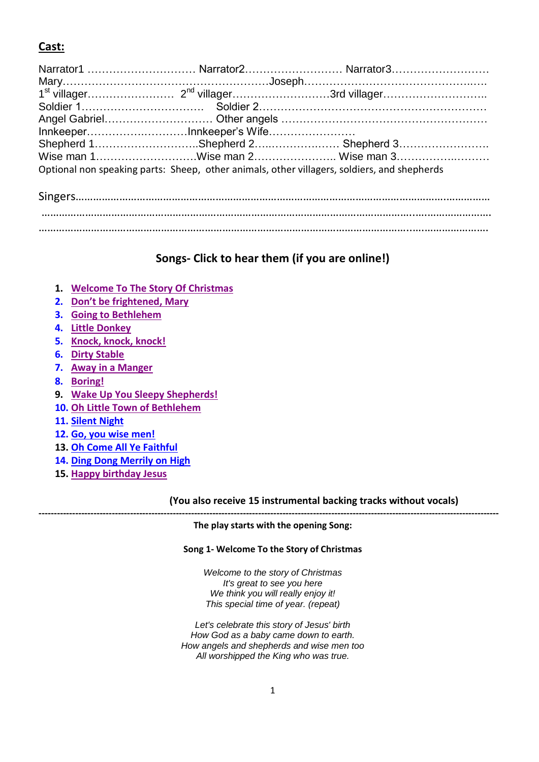### **Cast:**

| InnkeeperInnkeeper's Wife                                                                   |  |                                 |
|---------------------------------------------------------------------------------------------|--|---------------------------------|
|                                                                                             |  |                                 |
|                                                                                             |  | Wise man 1Wise man 2 Wise man 3 |
| Optional non speaking parts: Sheep, other animals, other villagers, soldiers, and shepherds |  |                                 |
|                                                                                             |  |                                 |

………………………………………………………………………………………………………………..….…………………. ………………………………………………………………………………………………………………..….………………….

### **Songs- Click to hear them (if you are online!)**

- **1. [Welcome To The Story Of Christmas](http://www.magicparrot.com/welcometo/01welcometosample.mp3)**
- **2. [Don't be frightened, Mary](http://www.magicparrot.com/welcometo/02dontbesample.mp3)**
- **3. [Going to Bethlehem](http://www.magicparrot.com/welcometo/03goingtosample.mp3)**
- **4. [Little Donkey](http://www.magicparrot.com/welcometo/04littledonkeysample.mp3)**
- **5. [Knock, knock, knock!](http://www.magicparrot.com/welcometo/05knocksample.mp3)**
- **6. [Dirty Stable](http://www.magicparrot.com/welcometo/06dirtystablesample.mp3)**
- **7. [Away in a Manger](http://www.magicparrot.com/welcometo/07mangersample.mp3)**
- **8. [Boring!](http://www.magicparrot.com/welcometo/08boringsample.mp3)**
- **9. [Wake Up You Sleepy Shepherds!](../09wakeupsample.mp3)**
- **10. [Oh Little Town of Bethlehem](../10ollttlesample.mp3)**
- **11. [Silent Night](http://www.magicparrot.com/welcometo/11silentnightsample.mp3)**
- **12. [Go, you wise men!](http://www.magicparrot.com/welcometo/12wisemensample.mp3)**
- **13. [Oh Come All Ye Faithful](../13faithfulsample.mp3)**
- **14. [Ding Dong Merrily on High](http://www.magicparrot.com/welcometo/14merrilysample.mp3)**
- **15. [Happy birthday Jesus](../15happybirthdayjesussample.mp3)**

#### **(You also receive 15 instrumental backing tracks without vocals)**

#### **------------------------------------------------------------------------------------------------------------------------------------------------------- The play starts with the opening Song:**

#### **Song 1- Welcome To the Story of Christmas**

*Welcome to the story of Christmas It's great to see you here We think you will really enjoy it! This special time of year. (repeat)*

*Let's celebrate this story of Jesus' birth How God as a baby came down to earth. How angels and shepherds and wise men too All worshipped the King who was true.*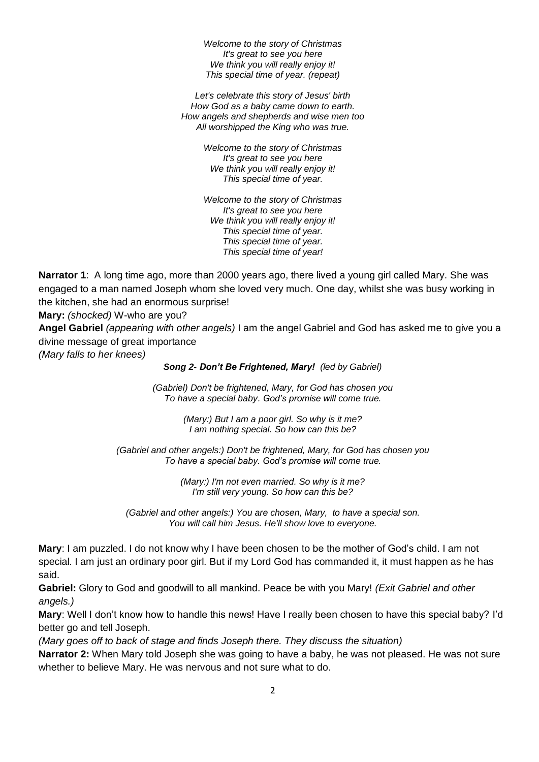*Welcome to the story of Christmas It's great to see you here We think you will really enjoy it! This special time of year. (repeat)*

*Let's celebrate this story of Jesus' birth How God as a baby came down to earth. How angels and shepherds and wise men too All worshipped the King who was true.*

> *Welcome to the story of Christmas It's great to see you here We think you will really enjoy it! This special time of year.*

> *Welcome to the story of Christmas It's great to see you here We think you will really enjoy it! This special time of year. This special time of year. This special time of year!*

**Narrator 1**: A long time ago, more than 2000 years ago, there lived a young girl called Mary. She was engaged to a man named Joseph whom she loved very much. One day, whilst she was busy working in the kitchen, she had an enormous surprise!

**Mary:** *(shocked)* W-who are you?

**Angel Gabriel** *(appearing with other angels)* I am the angel Gabriel and God has asked me to give you a divine message of great importance

*(Mary falls to her knees)*

*Song 2- Don't Be Frightened, Mary! (led by Gabriel)*

*(Gabriel) Don't be frightened, Mary, for God has chosen you To have a special baby. God's promise will come true.*

> *(Mary:) But I am a poor girl. So why is it me? I am nothing special. So how can this be?*

*(Gabriel and other angels:) Don't be frightened, Mary, for God has chosen you To have a special baby. God's promise will come true.*

> *(Mary:) I'm not even married. So why is it me? I'm still very young. So how can this be?*

*(Gabriel and other angels:) You are chosen, Mary, to have a special son. You will call him Jesus. He'll show love to everyone.*

**Mary**: I am puzzled. I do not know why I have been chosen to be the mother of God's child. I am not special. I am just an ordinary poor girl. But if my Lord God has commanded it, it must happen as he has said.

**Gabriel:** Glory to God and goodwill to all mankind. Peace be with you Mary! *(Exit Gabriel and other angels.)*

**Mary**: Well I don't know how to handle this news! Have I really been chosen to have this special baby? I'd better go and tell Joseph.

*(Mary goes off to back of stage and finds Joseph there. They discuss the situation)*

**Narrator 2:** When Mary told Joseph she was going to have a baby, he was not pleased. He was not sure whether to believe Mary. He was nervous and not sure what to do.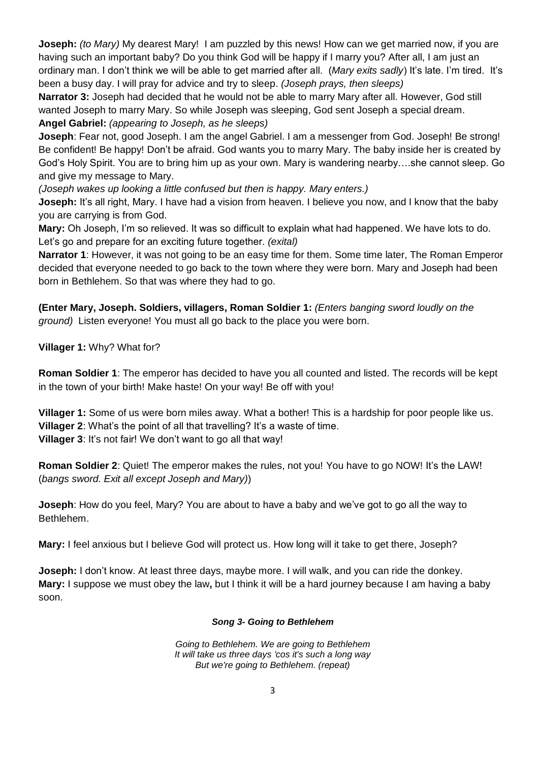**Joseph:** (to Mary) My dearest Mary! I am puzzled by this news! How can we get married now, if you are having such an important baby? Do you think God will be happy if I marry you? After all, I am just an ordinary man. I don't think we will be able to get married after all. (*Mary exits sadly*) It's late. I'm tired. It's been a busy day. I will pray for advice and try to sleep. *(Joseph prays, then sleeps)*

**Narrator 3:** Joseph had decided that he would not be able to marry Mary after all. However, God still wanted Joseph to marry Mary. So while Joseph was sleeping, God sent Joseph a special dream. **Angel Gabriel:** *(appearing to Joseph, as he sleeps)*

**Joseph**: Fear not, good Joseph. I am the angel Gabriel. I am a messenger from God. Joseph! Be strong! Be confident! Be happy! Don't be afraid. God wants you to marry Mary. The baby inside her is created by God's Holy Spirit. You are to bring him up as your own. Mary is wandering nearby….she cannot sleep. Go and give my message to Mary.

*(Joseph wakes up looking a little confused but then is happy. Mary enters.)*

**Joseph:** It's all right, Mary. I have had a vision from heaven. I believe you now, and I know that the baby you are carrying is from God.

**Mary:** Oh Joseph, I'm so relieved. It was so difficult to explain what had happened. We have lots to do. Let's go and prepare for an exciting future together. *(exital)*

**Narrator 1**: However, it was not going to be an easy time for them. Some time later, The Roman Emperor decided that everyone needed to go back to the town where they were born. Mary and Joseph had been born in Bethlehem. So that was where they had to go.

**(Enter Mary, Joseph. Soldiers, villagers, Roman Soldier 1:** *(Enters banging sword loudly on the ground)* Listen everyone! You must all go back to the place you were born.

**Villager 1:** Why? What for?

**Roman Soldier 1**: The emperor has decided to have you all counted and listed. The records will be kept in the town of your birth! Make haste! On your way! Be off with you!

**Villager 1:** Some of us were born miles away. What a bother! This is a hardship for poor people like us. **Villager 2**: What's the point of all that travelling? It's a waste of time. **Villager 3**: It's not fair! We don't want to go all that way!

**Roman Soldier 2**: Quiet! The emperor makes the rules, not you! You have to go NOW! It's the LAW! (*bangs sword. Exit all except Joseph and Mary)*)

**Joseph**: How do you feel, Mary? You are about to have a baby and we've got to go all the way to Bethlehem.

**Mary:** I feel anxious but I believe God will protect us. How long will it take to get there, Joseph?

**Joseph:** I don't know. At least three days, maybe more. I will walk, and you can ride the donkey. **Mary:** I suppose we must obey the law**,** but I think it will be a hard journey because I am having a baby soon.

#### *Song 3- Going to Bethlehem*

*Going to Bethlehem. We are going to Bethlehem It will take us three days 'cos it's such a long way But we're going to Bethlehem. (repeat)*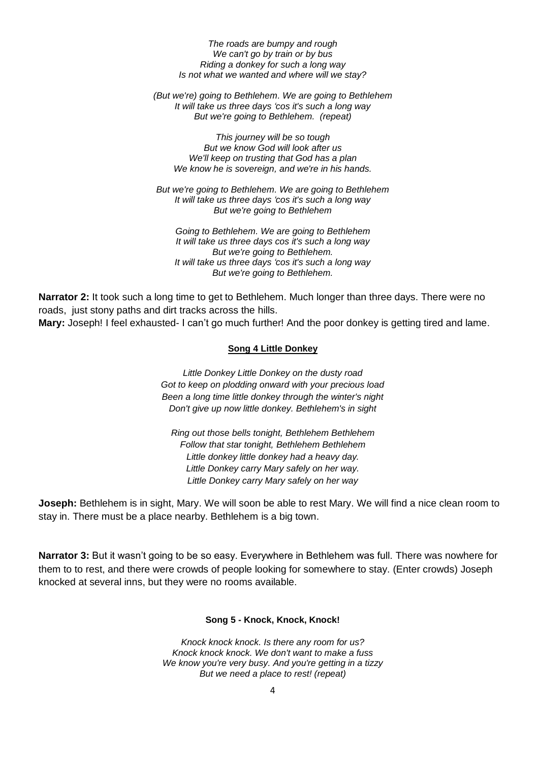*The roads are bumpy and rough We can't go by train or by bus Riding a donkey for such a long way Is not what we wanted and where will we stay?*

*(But we're) going to Bethlehem. We are going to Bethlehem It will take us three days 'cos it's such a long way But we're going to Bethlehem. (repeat)*

*This journey will be so tough But we know God will look after us We'll keep on trusting that God has a plan We know he is sovereign, and we're in his hands.*

*But we're going to Bethlehem. We are going to Bethlehem It will take us three days 'cos it's such a long way But we're going to Bethlehem*

*Going to Bethlehem. We are going to Bethlehem It will take us three days cos it's such a long way But we're going to Bethlehem. It will take us three days 'cos it's such a long way But we're going to Bethlehem.*

**Narrator 2:** It took such a long time to get to Bethlehem. Much longer than three days. There were no roads, just stony paths and dirt tracks across the hills. **Mary:** Joseph! I feel exhausted- I can't go much further! And the poor donkey is getting tired and lame.

#### **Song 4 Little Donkey**

*Little Donkey Little Donkey on the dusty road Got to keep on plodding onward with your precious load Been a long time little donkey through the winter's night Don't give up now little donkey. Bethlehem's in sight*

*Ring out those bells tonight, Bethlehem Bethlehem Follow that star tonight, Bethlehem Bethlehem Little donkey little donkey had a heavy day. Little Donkey carry Mary safely on her way. Little Donkey carry Mary safely on her way*

**Joseph:** Bethlehem is in sight, Mary. We will soon be able to rest Mary. We will find a nice clean room to stay in. There must be a place nearby. Bethlehem is a big town.

**Narrator 3:** But it wasn't going to be so easy. Everywhere in Bethlehem was full. There was nowhere for them to to rest, and there were crowds of people looking for somewhere to stay. (Enter crowds) Joseph knocked at several inns, but they were no rooms available.

#### **Song 5 - Knock, Knock, Knock!**

*Knock knock knock. Is there any room for us? Knock knock knock. We don't want to make a fuss We know you're very busy. And you're getting in a tizzy But we need a place to rest! (repeat)*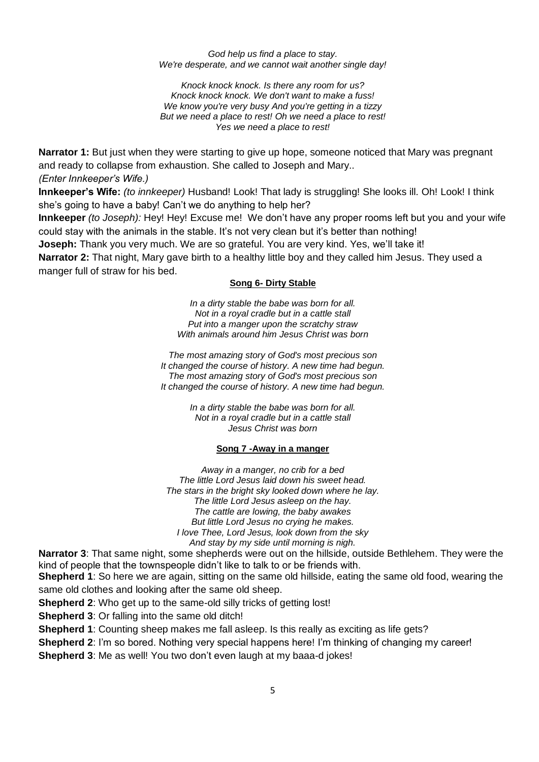#### *God help us find a place to stay. We're desperate, and we cannot wait another single day!*

*Knock knock knock. Is there any room for us? Knock knock knock. We don't want to make a fuss! We know you're very busy And you're getting in a tizzy But we need a place to rest! Oh we need a place to rest! Yes we need a place to rest!* 

**Narrator 1:** But just when they were starting to give up hope, someone noticed that Mary was pregnant and ready to collapse from exhaustion. She called to Joseph and Mary.. *(Enter Innkeeper's Wife.)* 

**Innkeeper's Wife:** *(to innkeeper)* Husband! Look! That lady is struggling! She looks ill. Oh! Look! I think she's going to have a baby! Can't we do anything to help her?

**Innkeeper** *(to Joseph):* Hey! Hey! Excuse me! We don't have any proper rooms left but you and your wife could stay with the animals in the stable. It's not very clean but it's better than nothing!

**Joseph:** Thank you very much. We are so grateful. You are very kind. Yes, we'll take it!

**Narrator 2:** That night, Mary gave birth to a healthy little boy and they called him Jesus. They used a manger full of straw for his bed.

#### **Song 6- Dirty Stable**

*In a dirty stable the babe was born for all. Not in a royal cradle but in a cattle stall Put into a manger upon the scratchy straw With animals around him Jesus Christ was born*

*The most amazing story of God's most precious son It changed the course of history. A new time had begun. The most amazing story of God's most precious son It changed the course of history. A new time had begun.*

> *In a dirty stable the babe was born for all. Not in a royal cradle but in a cattle stall Jesus Christ was born*

#### **Song 7 -Away in a manger**

*Away in a manger, no crib for a bed The little Lord Jesus laid down his sweet head. The stars in the bright sky looked down where he lay. The little Lord Jesus asleep on the hay. The cattle are lowing, the baby awakes But little Lord Jesus no crying he makes. I love Thee, Lord Jesus, look down from the sky And stay by my side until morning is nigh.*

**Narrator 3**: That same night, some shepherds were out on the hillside, outside Bethlehem. They were the kind of people that the townspeople didn't like to talk to or be friends with.

**Shepherd 1**: So here we are again, sitting on the same old hillside, eating the same old food, wearing the same old clothes and looking after the same old sheep.

**Shepherd 2**: Who get up to the same-old silly tricks of getting lost!

**Shepherd 3**: Or falling into the same old ditch!

**Shepherd 1**: Counting sheep makes me fall asleep. Is this really as exciting as life gets?

**Shepherd 2**: I'm so bored. Nothing very special happens here! I'm thinking of changing my career!

**Shepherd 3**: Me as well! You two don't even laugh at my baaa-d jokes!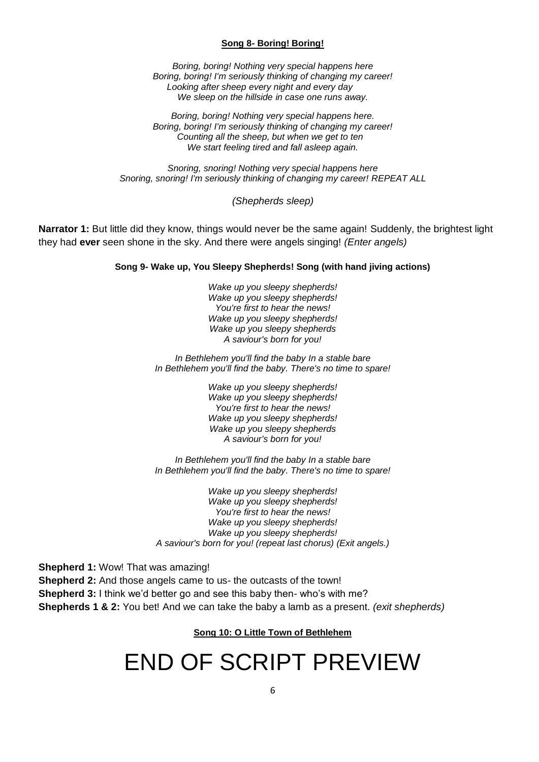#### **Song 8- Boring! Boring!**

*Boring, boring! Nothing very special happens here Boring, boring! I'm seriously thinking of changing my career! Looking after sheep every night and every day We sleep on the hillside in case one runs away.*

*Boring, boring! Nothing very special happens here. Boring, boring! I'm seriously thinking of changing my career! Counting all the sheep, but when we get to ten We start feeling tired and fall asleep again.*

*Snoring, snoring! Nothing very special happens here Snoring, snoring! I'm seriously thinking of changing my career! REPEAT ALL*

*(Shepherds sleep)*

**Narrator 1:** But little did they know, things would never be the same again! Suddenly, the brightest light they had **ever** seen shone in the sky. And there were angels singing! *(Enter angels)*

#### **Song 9- Wake up, You Sleepy Shepherds! Song (with hand jiving actions)**

*Wake up you sleepy shepherds! Wake up you sleepy shepherds! You're first to hear the news! Wake up you sleepy shepherds! Wake up you sleepy shepherds A saviour's born for you!*

*In Bethlehem you'll find the baby In a stable bare In Bethlehem you'll find the baby. There's no time to spare!*

> *Wake up you sleepy shepherds! Wake up you sleepy shepherds! You're first to hear the news! Wake up you sleepy shepherds! Wake up you sleepy shepherds A saviour's born for you!*

*In Bethlehem you'll find the baby In a stable bare In Bethlehem you'll find the baby. There's no time to spare!*

*Wake up you sleepy shepherds! Wake up you sleepy shepherds! You're first to hear the news! Wake up you sleepy shepherds! Wake up you sleepy shepherds! A saviour's born for you! (repeat last chorus) (Exit angels.)*

**Shepherd 1:** Wow! That was amazing!

**Shepherd 2:** And those angels came to us- the outcasts of the town! **Shepherd 3:** I think we'd better go and see this baby then- who's with me? **Shepherds 1 & 2:** You bet! And we can take the baby a lamb as a present. *(exit shepherds)*

#### **Song 10: O Little Town of Bethlehem**

# END OF SCRIPT PREVIEW